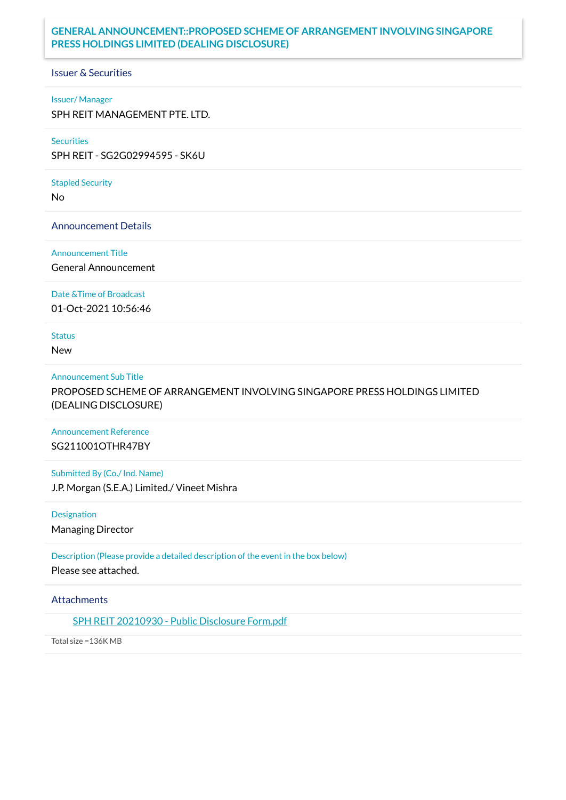## **GENERAL ANNOUNCEMENT::PROPOSED SCHEME OF ARRANGEMENT INVOLVING SINGAPORE PRESS HOLDINGS LIMITED (DEALING DISCLOSURE)**

Issuer & Securities

#### Issuer/ Manager

SPH REIT MANAGEMENT PTE. LTD.

#### **Securities**

SPH REIT - SG2G02994595 - SK6U

# Stapled Security

No

### Announcement Details

#### Announcement Title

General Announcement

### Date &Time of Broadcast

01-Oct-2021 10:56:46

## **Status**

New

#### Announcement Sub Title

PROPOSED SCHEME OF ARRANGEMENT INVOLVING SINGAPORE PRESS HOLDINGS LIMITED (DEALING DISCLOSURE)

## Announcement Reference SG211001OTHR47BY

Submitted By (Co./ Ind. Name) J.P. Morgan (S.E.A.) Limited./ Vineet Mishra

Designation

Managing Director

Description (Please provide a detailed description of the event in the box below) Please see attached.

### **Attachments**

SPH REIT [20210930](https://links.sgx.com/1.0.0/corporate-announcements/MV9DZ8SVQWF0UA0E/685377_SPH%20REIT%2020210930%20-%20Public%20Disclosure%20Form.pdf) - Public Disclosure Form.pdf

Total size =136K MB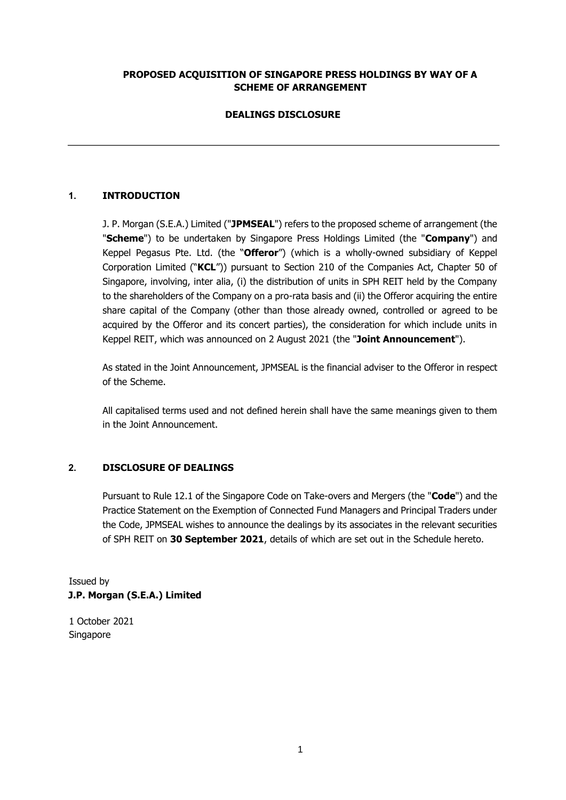## **PROPOSED ACQUISITION OF SINGAPORE PRESS HOLDINGS BY WAY OF A SCHEME OF ARRANGEMENT**

## **DEALINGS DISCLOSURE**

## **1. INTRODUCTION**

J. P. Morgan (S.E.A.) Limited ("**JPMSEAL**") refers to the proposed scheme of arrangement (the "**Scheme**") to be undertaken by Singapore Press Holdings Limited (the "**Company**") and Keppel Pegasus Pte. Ltd. (the "**Offeror**") (which is a wholly-owned subsidiary of Keppel Corporation Limited ("**KCL**")) pursuant to Section 210 of the Companies Act, Chapter 50 of Singapore, involving, inter alia, (i) the distribution of units in SPH REIT held by the Company to the shareholders of the Company on a pro-rata basis and (ii) the Offeror acquiring the entire share capital of the Company (other than those already owned, controlled or agreed to be acquired by the Offeror and its concert parties), the consideration for which include units in Keppel REIT, which was announced on 2 August 2021 (the "**Joint Announcement**").

As stated in the Joint Announcement, JPMSEAL is the financial adviser to the Offeror in respect of the Scheme.

All capitalised terms used and not defined herein shall have the same meanings given to them in the Joint Announcement.

### **2. DISCLOSURE OF DEALINGS**

Pursuant to Rule 12.1 of the Singapore Code on Take-overs and Mergers (the "**Code**") and the Practice Statement on the Exemption of Connected Fund Managers and Principal Traders under the Code, JPMSEAL wishes to announce the dealings by its associates in the relevant securities of SPH REIT on **30 September 2021**, details of which are set out in the Schedule hereto.

Issued by **J.P. Morgan (S.E.A.) Limited** 

1 October 2021 Singapore